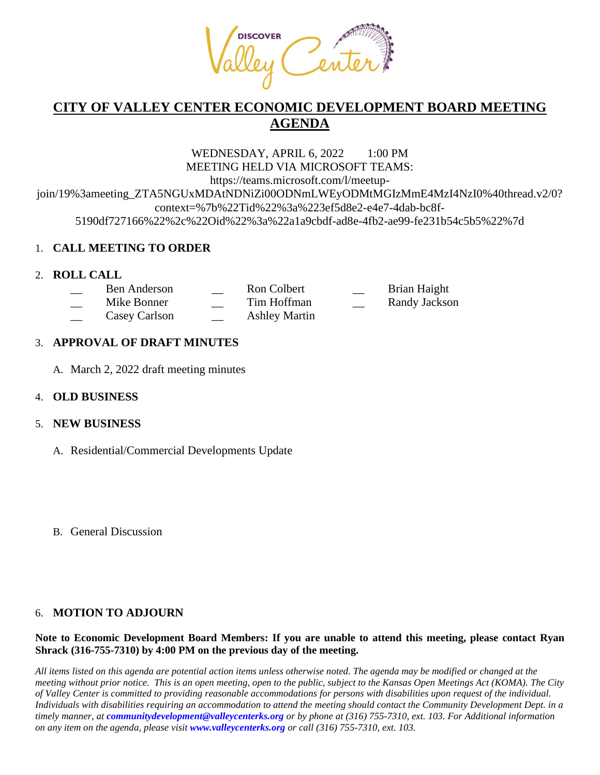

# **CITY OF VALLEY CENTER ECONOMIC DEVELOPMENT BOARD MEETING AGENDA**

WEDNESDAY, APRIL 6, 2022 1:00 PM MEETING HELD VIA MICROSOFT TEAMS: https://teams.microsoft.com/l/meetupjoin/19%3ameeting\_ZTA5NGUxMDAtNDNiZi00ODNmLWEyODMtMGIzMmE4MzI4NzI0%40thread.v2/0? context=%7b%22Tid%22%3a%223ef5d8e2-e4e7-4dab-bc8f-5190df727166%22%2c%22Oid%22%3a%22a1a9cbdf-ad8e-4fb2-ae99-fe231b54c5b5%22%7d

## 1. **CALL MEETING TO ORDER**

## 2. **ROLL CALL**

| Ben Anderson  | Ron Colbert          | <b>Contract Contract</b> | Brian Haight  |
|---------------|----------------------|--------------------------|---------------|
| Mike Bonner   | Tim Hoffman          | $\sim$                   | Randy Jackson |
| Casey Carlson | <b>Ashley Martin</b> |                          |               |

## 3. **APPROVAL OF DRAFT MINUTES**

A. March 2, 2022 draft meeting minutes

## 4. **OLD BUSINESS**

## 5. **NEW BUSINESS**

- A. Residential/Commercial Developments Update
- B. General Discussion

## 6. **MOTION TO ADJOURN**

#### **Note to Economic Development Board Members: If you are unable to attend this meeting, please contact Ryan Shrack (316-755-7310) by 4:00 PM on the previous day of the meeting.**

*All items listed on this agenda are potential action items unless otherwise noted. The agenda may be modified or changed at the meeting without prior notice. This is an open meeting, open to the public, subject to the Kansas Open Meetings Act (KOMA). The City of Valley Center is committed to providing reasonable accommodations for persons with disabilities upon request of the individual. Individuals with disabilities requiring an accommodation to attend the meeting should contact the Community Development Dept. in a timely manner, at communitydevelopment@valleycenterks.org or by phone at (316) 755-7310, ext. 103. For Additional information on any item on the agenda, please visit www.valleycenterks.org or call (316) 755-7310, ext. 103.*